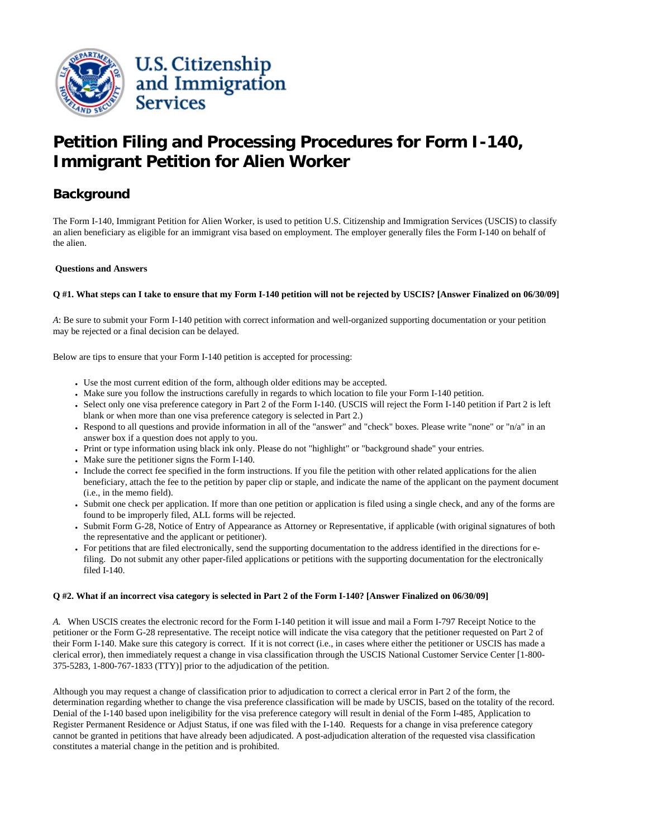

# **Petition Filing and Processing Procedures for Form I-140, Immigrant Petition for Alien Worker**

# **Background**

The Form I-140, Immigrant Petition for Alien Worker, is used to petition U.S. Citizenship and Immigration Services (USCIS) to classify an alien beneficiary as eligible for an immigrant visa based on employment. The employer generally files the Form I-140 on behalf of the alien.

# **Questions and Answers**

# **Q #1. What steps can I take to ensure that my Form I-140 petition will not be rejected by USCIS? [Answer Finalized on 06/30/09]**

*A*: Be sure to submit your Form I-140 petition with correct information and well-organized supporting documentation or your petition may be rejected or a final decision can be delayed.

Below are tips to ensure that your Form I-140 petition is accepted for processing:

- Use the most current edition of the form, although older editions may be accepted.
- Make sure you follow the instructions carefully in regards to which location to file your Form I-140 petition.
- Select only one visa preference category in Part 2 of the Form I-140. (USCIS will reject the Form I-140 petition if Part 2 is left blank or when more than one visa preference category is selected in Part 2.)
- Respond to all questions and provide information in all of the "answer" and "check" boxes. Please write "none" or "n/a" in an answer box if a question does not apply to you.
- Print or type information using black ink only. Please do not "highlight" or "background shade" your entries.
- Make sure the petitioner signs the Form I-140.
- Include the correct fee specified in the form instructions. If you file the petition with other related applications for the alien beneficiary, attach the fee to the petition by paper clip or staple, and indicate the name of the applicant on the payment document (i.e., in the memo field).
- Submit one check per application. If more than one petition or application is filed using a single check, and any of the forms are found to be improperly filed, ALL forms will be rejected.
- Submit Form G-28, Notice of Entry of Appearance as Attorney or Representative, if applicable (with original signatures of both the representative and the applicant or petitioner).
- For petitions that are filed electronically, send the supporting documentation to the address identified in the directions for efiling. Do not submit any other paper-filed applications or petitions with the supporting documentation for the electronically filed I-140.

#### **Q #2. What if an incorrect visa category is selected in Part 2 of the Form I-140? [Answer Finalized on 06/30/09]**

*A.* When USCIS creates the electronic record for the Form I-140 petition it will issue and mail a Form I-797 Receipt Notice to the petitioner or the Form G-28 representative. The receipt notice will indicate the visa category that the petitioner requested on Part 2 of their Form I-140. Make sure this category is correct. If it is not correct (i.e., in cases where either the petitioner or USCIS has made a clerical error), then immediately request a change in visa classification through the USCIS National Customer Service Center [1-800- 375-5283, 1-800-767-1833 (TTY)] prior to the adjudication of the petition.

Although you may request a change of classification prior to adjudication to correct a clerical error in Part 2 of the form, the determination regarding whether to change the visa preference classification will be made by USCIS, based on the totality of the record. Denial of the I-140 based upon ineligibility for the visa preference category will result in denial of the Form I-485, Application to Register Permanent Residence or Adjust Status, if one was filed with the I-140. Requests for a change in visa preference category cannot be granted in petitions that have already been adjudicated. A post-adjudication alteration of the requested visa classification constitutes a material change in the petition and is prohibited.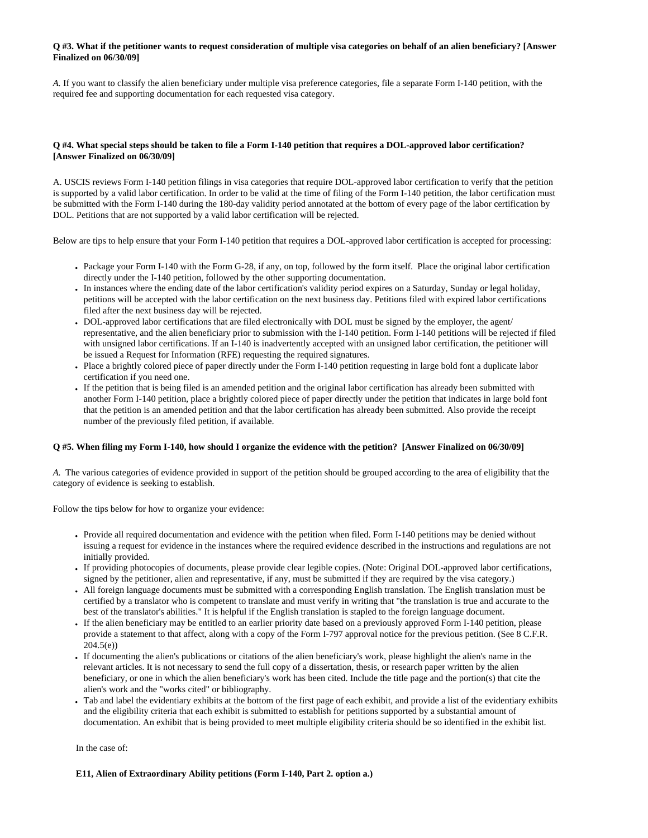### **Q #3. What if the petitioner wants to request consideration of multiple visa categories on behalf of an alien beneficiary? [Answer Finalized on 06/30/09]**

*A.* If you want to classify the alien beneficiary under multiple visa preference categories, file a separate Form I-140 petition, with the required fee and supporting documentation for each requested visa category.

# **Q #4. What special steps should be taken to file a Form I-140 petition that requires a DOL-approved labor certification? [Answer Finalized on 06/30/09]**

A. USCIS reviews Form I-140 petition filings in visa categories that require DOL-approved labor certification to verify that the petition is supported by a valid labor certification. In order to be valid at the time of filing of the Form I-140 petition, the labor certification must be submitted with the Form I-140 during the 180-day validity period annotated at the bottom of every page of the labor certification by DOL. Petitions that are not supported by a valid labor certification will be rejected.

Below are tips to help ensure that your Form I-140 petition that requires a DOL-approved labor certification is accepted for processing:

- Package your Form I-140 with the Form G-28, if any, on top, followed by the form itself. Place the original labor certification directly under the I-140 petition, followed by the other supporting documentation.
- In instances where the ending date of the labor certification's validity period expires on a Saturday, Sunday or legal holiday, petitions will be accepted with the labor certification on the next business day. Petitions filed with expired labor certifications filed after the next business day will be rejected.
- DOL-approved labor certifications that are filed electronically with DOL must be signed by the employer, the agent/ representative, and the alien beneficiary prior to submission with the I-140 petition. Form I-140 petitions will be rejected if filed with unsigned labor certifications. If an I-140 is inadvertently accepted with an unsigned labor certification, the petitioner will be issued a Request for Information (RFE) requesting the required signatures.
- Place a brightly colored piece of paper directly under the Form I-140 petition requesting in large bold font a duplicate labor certification if you need one.
- If the petition that is being filed is an amended petition and the original labor certification has already been submitted with another Form I-140 petition, place a brightly colored piece of paper directly under the petition that indicates in large bold font that the petition is an amended petition and that the labor certification has already been submitted. Also provide the receipt number of the previously filed petition, if available.

#### **Q #5. When filing my Form I-140, how should I organize the evidence with the petition? [Answer Finalized on 06/30/09]**

*A.* The various categories of evidence provided in support of the petition should be grouped according to the area of eligibility that the category of evidence is seeking to establish.

Follow the tips below for how to organize your evidence:

- Provide all required documentation and evidence with the petition when filed. Form I-140 petitions may be denied without issuing a request for evidence in the instances where the required evidence described in the instructions and regulations are not initially provided.
- If providing photocopies of documents, please provide clear legible copies. (Note: Original DOL-approved labor certifications, signed by the petitioner, alien and representative, if any, must be submitted if they are required by the visa category.)
- All foreign language documents must be submitted with a corresponding English translation. The English translation must be certified by a translator who is competent to translate and must verify in writing that "the translation is true and accurate to the best of the translator's abilities." It is helpful if the English translation is stapled to the foreign language document.
- If the alien beneficiary may be entitled to an earlier priority date based on a previously approved Form I-140 petition, please provide a statement to that affect, along with a copy of the Form I-797 approval notice for the previous petition. (See 8 C.F.R. 204.5(e))
- If documenting the alien's publications or citations of the alien beneficiary's work, please highlight the alien's name in the relevant articles. It is not necessary to send the full copy of a dissertation, thesis, or research paper written by the alien beneficiary, or one in which the alien beneficiary's work has been cited. Include the title page and the portion(s) that cite the alien's work and the "works cited" or bibliography.
- Tab and label the evidentiary exhibits at the bottom of the first page of each exhibit, and provide a list of the evidentiary exhibits and the eligibility criteria that each exhibit is submitted to establish for petitions supported by a substantial amount of documentation. An exhibit that is being provided to meet multiple eligibility criteria should be so identified in the exhibit list.

In the case of:

### **E11, Alien of Extraordinary Ability petitions (Form I-140, Part 2. option a.)**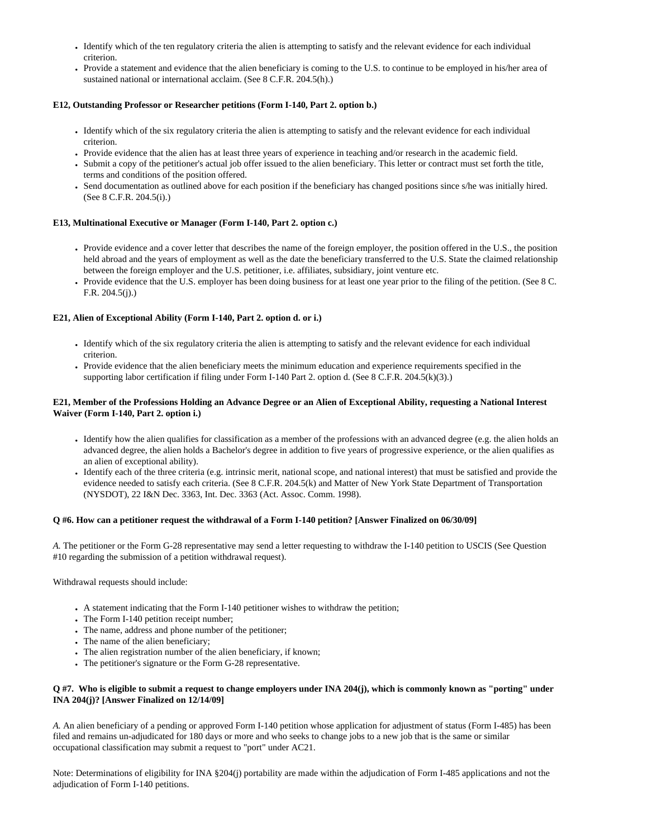- Identify which of the ten regulatory criteria the alien is attempting to satisfy and the relevant evidence for each individual criterion.
- Provide a statement and evidence that the alien beneficiary is coming to the U.S. to continue to be employed in his/her area of sustained national or international acclaim. (See 8 C.F.R. 204.5(h).)

# **E12, Outstanding Professor or Researcher petitions (Form I-140, Part 2. option b.)**

- Identify which of the six regulatory criteria the alien is attempting to satisfy and the relevant evidence for each individual criterion.
- Provide evidence that the alien has at least three years of experience in teaching and/or research in the academic field.
- Submit a copy of the petitioner's actual job offer issued to the alien beneficiary. This letter or contract must set forth the title, terms and conditions of the position offered.
- Send documentation as outlined above for each position if the beneficiary has changed positions since s/he was initially hired. (See 8 C.F.R. 204.5(i).)

# **E13, Multinational Executive or Manager (Form I-140, Part 2. option c.)**

- Provide evidence and a cover letter that describes the name of the foreign employer, the position offered in the U.S., the position held abroad and the years of employment as well as the date the beneficiary transferred to the U.S. State the claimed relationship between the foreign employer and the U.S. petitioner, i.e. affiliates, subsidiary, joint venture etc.
- Provide evidence that the U.S. employer has been doing business for at least one year prior to the filing of the petition. (See 8 C. F.R. 204.5(j).)

# **E21, Alien of Exceptional Ability (Form I-140, Part 2. option d. or i.)**

- Identify which of the six regulatory criteria the alien is attempting to satisfy and the relevant evidence for each individual criterion.
- Provide evidence that the alien beneficiary meets the minimum education and experience requirements specified in the supporting labor certification if filing under Form I-140 Part 2. option d. (See 8 C.F.R. 204.5(k)(3).)

# **E21, Member of the Professions Holding an Advance Degree or an Alien of Exceptional Ability, requesting a National Interest Waiver (Form I-140, Part 2. option i.)**

- $\bullet$  Identify how the alien qualifies for classification as a member of the professions with an advanced degree (e.g. the alien holds an advanced degree, the alien holds a Bachelor's degree in addition to five years of progressive experience, or the alien qualifies as an alien of exceptional ability).
- Identify each of the three criteria (e.g. intrinsic merit, national scope, and national interest) that must be satisfied and provide the evidence needed to satisfy each criteria. (See 8 C.F.R. 204.5(k) and Matter of New York State Department of Transportation (NYSDOT), 22 I&N Dec. 3363, Int. Dec. 3363 (Act. Assoc. Comm. 1998).

#### **Q #6. How can a petitioner request the withdrawal of a Form I-140 petition? [Answer Finalized on 06/30/09]**

*A.* The petitioner or the Form G-28 representative may send a letter requesting to withdraw the I-140 petition to USCIS (See Question #10 regarding the submission of a petition withdrawal request).

Withdrawal requests should include:

- A statement indicating that the Form I-140 petitioner wishes to withdraw the petition;
- The Form I-140 petition receipt number;
- The name, address and phone number of the petitioner;
- The name of the alien beneficiary;
- The alien registration number of the alien beneficiary, if known;
- The petitioner's signature or the Form G-28 representative.

# **Q #7. Who is eligible to submit a request to change employers under INA 204(j), which is commonly known as "porting" under INA 204(j)? [Answer Finalized on 12/14/09]**

*A.* An alien beneficiary of a pending or approved Form I-140 petition whose application for adjustment of status (Form I-485) has been filed and remains un-adjudicated for 180 days or more and who seeks to change jobs to a new job that is the same or similar occupational classification may submit a request to "port" under AC21.

Note: Determinations of eligibility for INA §204(j) portability are made within the adjudication of Form I-485 applications and not the adjudication of Form I-140 petitions.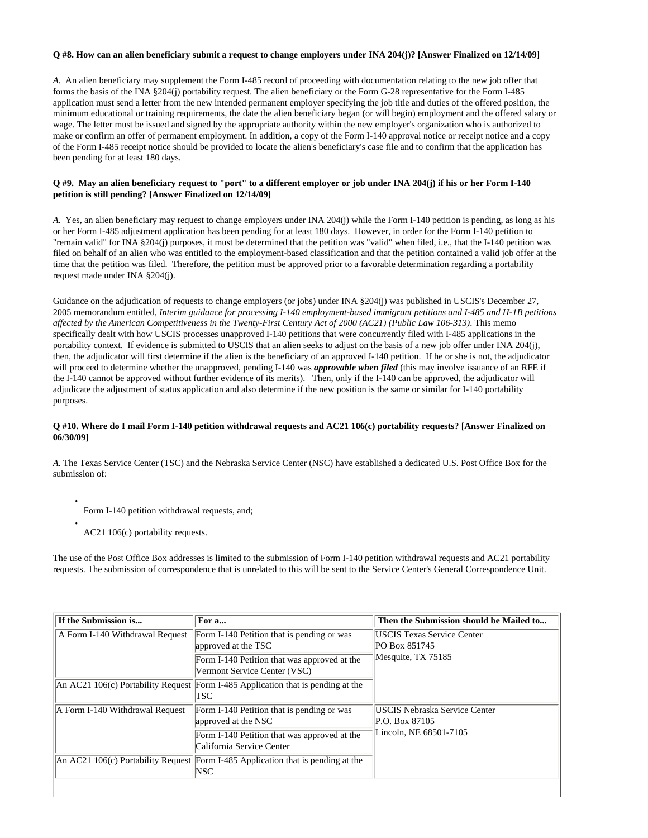#### **Q #8. How can an alien beneficiary submit a request to change employers under INA 204(j)? [Answer Finalized on 12/14/09]**

*A.* An alien beneficiary may supplement the Form I-485 record of proceeding with documentation relating to the new job offer that forms the basis of the INA §204(j) portability request. The alien beneficiary or the Form G-28 representative for the Form I-485 application must send a letter from the new intended permanent employer specifying the job title and duties of the offered position, the minimum educational or training requirements, the date the alien beneficiary began (or will begin) employment and the offered salary or wage. The letter must be issued and signed by the appropriate authority within the new employer's organization who is authorized to make or confirm an offer of permanent employment. In addition, a copy of the Form I-140 approval notice or receipt notice and a copy of the Form I-485 receipt notice should be provided to locate the alien's beneficiary's case file and to confirm that the application has been pending for at least 180 days.

### **Q #9. May an alien beneficiary request to "port" to a different employer or job under INA 204(j) if his or her Form I-140 petition is still pending? [Answer Finalized on 12/14/09]**

*A.* Yes, an alien beneficiary may request to change employers under INA 204(j) while the Form I-140 petition is pending, as long as his or her Form I-485 adjustment application has been pending for at least 180 days. However, in order for the Form I-140 petition to "remain valid" for INA §204(j) purposes, it must be determined that the petition was "valid" when filed, i.e., that the I-140 petition was filed on behalf of an alien who was entitled to the employment-based classification and that the petition contained a valid job offer at the time that the petition was filed. Therefore, the petition must be approved prior to a favorable determination regarding a portability request made under INA §204(j).

Guidance on the adjudication of requests to change employers (or jobs) under INA §204(j) was published in USCIS's December 27, 2005 memorandum entitled, *Interim guidance for processing I-140 employment-based immigrant petitions and I-485 and H-1B petitions affected by the American Competitiveness in the Twenty-First Century Act of 2000 (AC21) (Public Law 106-313)*. This memo specifically dealt with how USCIS processes unapproved I-140 petitions that were concurrently filed with I-485 applications in the portability context. If evidence is submitted to USCIS that an alien seeks to adjust on the basis of a new job offer under INA 204(j), then, the adjudicator will first determine if the alien is the beneficiary of an approved I-140 petition. If he or she is not, the adjudicator will proceed to determine whether the unapproved, pending I-140 was *approvable when filed* (this may involve issuance of an RFE if the I-140 cannot be approved without further evidence of its merits). Then, only if the I-140 can be approved, the adjudicator will adjudicate the adjustment of status application and also determine if the new position is the same or similar for I-140 portability purposes.

### **Q #10. Where do I mail Form I-140 petition withdrawal requests and AC21 106(c) portability requests? [Answer Finalized on 06/30/09]**

*A.* The Texas Service Center (TSC) and the Nebraska Service Center (NSC) have established a dedicated U.S. Post Office Box for the submission of:

- Form I-140 petition withdrawal requests, and;
- AC21 106(c) portability requests.

●

The use of the Post Office Box addresses is limited to the submission of Form I-140 petition withdrawal requests and AC21 portability requests. The submission of correspondence that is unrelated to this will be sent to the Service Center's General Correspondence Unit.

| If the Submission is            | For a                                                                                          | Then the Submission should be Mailed to                                          |  |
|---------------------------------|------------------------------------------------------------------------------------------------|----------------------------------------------------------------------------------|--|
| A Form I-140 Withdrawal Request | Form I-140 Petition that is pending or was<br>approved at the TSC                              | <b>IUSCIS Texas Service Center</b><br>PO Box 851745                              |  |
|                                 | Form I-140 Petition that was approved at the<br>Vermont Service Center (VSC)                   | Mesquite, TX 75185                                                               |  |
|                                 | An AC21 106(c) Portability Request Form I-485 Application that is pending at the<br>TSC        |                                                                                  |  |
| A Form I-140 Withdrawal Request | Form I-140 Petition that is pending or was<br>approved at the NSC                              | <b>USCIS Nebraska Service Center</b><br>P.O. Box 87105<br>Lincoln, NE 68501-7105 |  |
|                                 | Form I-140 Petition that was approved at the<br>California Service Center                      |                                                                                  |  |
|                                 | An AC21 106(c) Portability Request Form I-485 Application that is pending at the<br><b>NSC</b> |                                                                                  |  |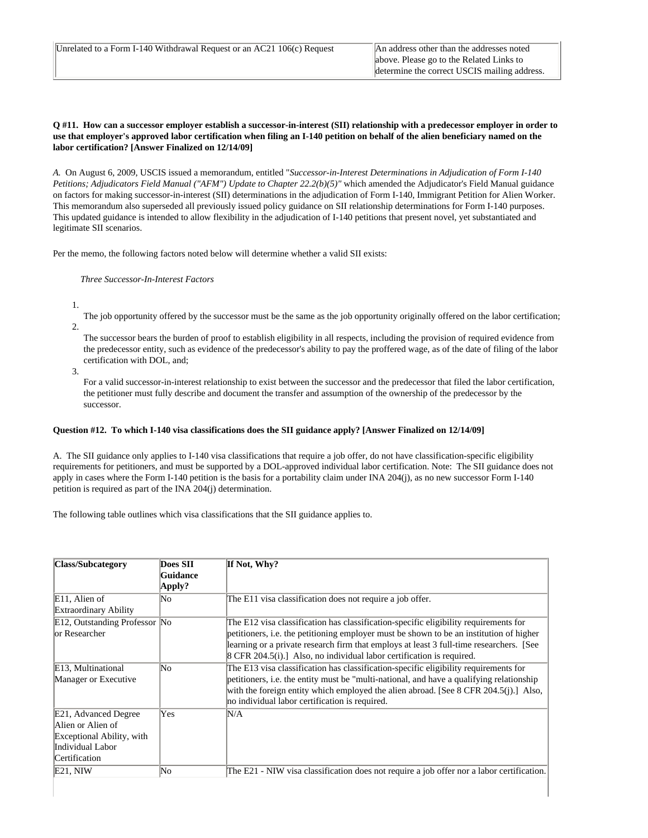#### **Q #11. How can a successor employer establish a successor-in-interest (SII) relationship with a predecessor employer in order to use that employer's approved labor certification when filing an I-140 petition on behalf of the alien beneficiary named on the labor certification? [Answer Finalized on 12/14/09]**

*A.* On August 6, 2009, USCIS issued a memorandum, entitled "*Successor-in-Interest Determinations in Adjudication of Form I-140 Petitions; Adjudicators Field Manual ("AFM") Update to Chapter 22.2(b)(5)"* which amended the Adjudicator's Field Manual guidance on factors for making successor-in-interest (SII) determinations in the adjudication of Form I-140, Immigrant Petition for Alien Worker. This memorandum also superseded all previously issued policy guidance on SII relationship determinations for Form I-140 purposes. This updated guidance is intended to allow flexibility in the adjudication of I-140 petitions that present novel, yet substantiated and legitimate SII scenarios.

Per the memo, the following factors noted below will determine whether a valid SII exists:

 *Three Successor-In-Interest Factors*

1.

The job opportunity offered by the successor must be the same as the job opportunity originally offered on the labor certification; 2.

The successor bears the burden of proof to establish eligibility in all respects, including the provision of required evidence from the predecessor entity, such as evidence of the predecessor's ability to pay the proffered wage, as of the date of filing of the labor certification with DOL, and;

3.

For a valid successor-in-interest relationship to exist between the successor and the predecessor that filed the labor certification, the petitioner must fully describe and document the transfer and assumption of the ownership of the predecessor by the successor.

### **Question #12. To which I-140 visa classifications does the SII guidance apply? [Answer Finalized on 12/14/09]**

A. The SII guidance only applies to I-140 visa classifications that require a job offer, do not have classification-specific eligibility requirements for petitioners, and must be supported by a DOL-approved individual labor certification. Note: The SII guidance does not apply in cases where the Form I-140 petition is the basis for a portability claim under INA 204(j), as no new successor Form I-140 petition is required as part of the INA 204(j) determination.

The following table outlines which visa classifications that the SII guidance applies to.

| Class/Subcategory                                                                                           | Does SII | If Not, Why?                                                                                                                                                                                                                                                                                                                                                                |
|-------------------------------------------------------------------------------------------------------------|----------|-----------------------------------------------------------------------------------------------------------------------------------------------------------------------------------------------------------------------------------------------------------------------------------------------------------------------------------------------------------------------------|
|                                                                                                             | Guidance |                                                                                                                                                                                                                                                                                                                                                                             |
|                                                                                                             | Apply?   |                                                                                                                                                                                                                                                                                                                                                                             |
| E11, Alien of                                                                                               | No       | The E11 visa classification does not require a job offer.                                                                                                                                                                                                                                                                                                                   |
| <b>Extraordinary Ability</b>                                                                                |          |                                                                                                                                                                                                                                                                                                                                                                             |
| E12, Outstanding Professor No<br>lor Researcher                                                             |          | The E12 visa classification has classification-specific eligibility requirements for<br>petitioners, i.e. the petitioning employer must be shown to be an institution of higher<br>learning or a private research firm that employs at least 3 full-time researchers. [See<br>$\left[8 \text{ CFR } 204.5(i)\right]$ . Also, no individual labor certification is required. |
| E13, Multinational<br>Manager or Executive                                                                  | No       | The E13 visa classification has classification-specific eligibility requirements for<br>petitioners, i.e. the entity must be "multi-national, and have a qualifying relationship<br>with the foreign entity which employed the alien abroad. [See 8 CFR 204.5(j).] Also,<br>no individual labor certification is required.                                                  |
| E21, Advanced Degree<br>Alien or Alien of<br>Exceptional Ability, with<br>Individual Labor<br>Certification | Yes      | N/A                                                                                                                                                                                                                                                                                                                                                                         |
| $E21$ , NIW                                                                                                 | No       | The E21 - NIW visa classification does not require a job offer nor a labor certification.                                                                                                                                                                                                                                                                                   |